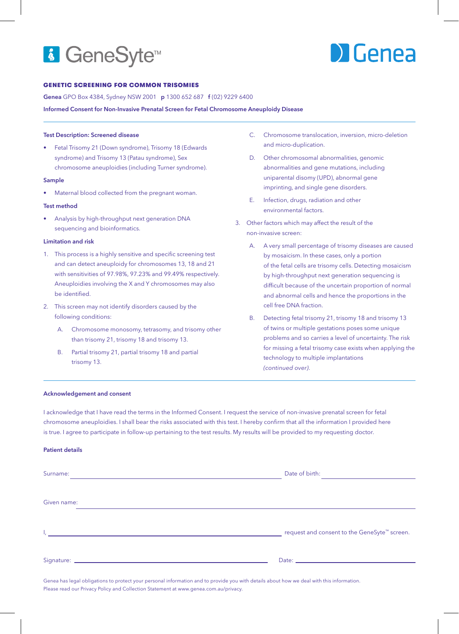## **&** GeneSyte<sup>™</sup>

# **DI** Genea

## GENETIC SCREENING FOR COMMON TRISOMIES

Genea GPO Box 4384, Sydney NSW 2001 p 1300 652 687 f (02) 9229 6400

Informed Consent for Non-Invasive Prenatal Screen for Fetal Chromosome Aneuploidy Disease

#### Test Description: Screened disease

• Fetal Trisomy 21 (Down syndrome), Trisomy 18 (Edwards syndrome) and Trisomy 13 (Patau syndrome), Sex chromosome aneuploidies (including Turner syndrome).

## Sample

Maternal blood collected from the pregnant woman.

#### Test method

• Analysis by high-throughput next generation DNA sequencing and bioinformatics.

## Limitation and risk

- 1. This process is a highly sensitive and specific screening test and can detect aneuploidy for chromosomes 13, 18 and 21 with sensitivities of 97.98%, 97.23% and 99.49% respectively. Aneuploidies involving the X and Y chromosomes may also be identified.
- 2. This screen may not identify disorders caused by the following conditions:
	- A. Chromosome monosomy, tetrasomy, and trisomy other than trisomy 21, trisomy 18 and trisomy 13.
	- B. Partial trisomy 21, partial trisomy 18 and partial trisomy 13.
- C. Chromosome translocation, inversion, micro-deletion and micro-duplication.
- D. Other chromosomal abnormalities, genomic abnormalities and gene mutations, including uniparental disomy (UPD), abnormal gene imprinting, and single gene disorders.
- E. Infection, drugs, radiation and other environmental factors.
- 3. Other factors which may affect the result of the non-invasive screen:
	- A. A very small percentage of trisomy diseases are caused by mosaicism. In these cases, only a portion of the fetal cells are trisomy cells. Detecting mosaicism by high-throughput next generation sequencing is difficult because of the uncertain proportion of normal and abnormal cells and hence the proportions in the cell free DNA fraction.
	- B. Detecting fetal trisomy 21, trisomy 18 and trisomy 13 of twins or multiple gestations poses some unique problems and so carries a level of uncertainty. The risk for missing a fetal trisomy case exists when applying the technology to multiple implantations *(continued over)*.

#### Acknowledgement and consent

I acknowledge that I have read the terms in the Informed Consent. I request the service of non-invasive prenatal screen for fetal chromosome aneuploidies. I shall bear the risks associated with this test. I hereby confirm that all the information I provided here is true. I agree to participate in follow-up pertaining to the test results. My results will be provided to my requesting doctor.

#### Patient details

| Surname:<br>the control of the control of the control of the control of the control of the control of the control of the control of the control of the control of the control of the control of the control of the control of the control | Date of birth:<br>the contract of the contract of the                                                                                                                                                                          |
|-------------------------------------------------------------------------------------------------------------------------------------------------------------------------------------------------------------------------------------------|--------------------------------------------------------------------------------------------------------------------------------------------------------------------------------------------------------------------------------|
| Given name:                                                                                                                                                                                                                               |                                                                                                                                                                                                                                |
| l <sub>e</sub> de la componentación de la componentación de la componentación de la componentación de la componentación de                                                                                                                | request and consent to the GeneSyte™ screen.                                                                                                                                                                                   |
|                                                                                                                                                                                                                                           | Date: http://www.archive.com/communications/communications/communications/communications/communications/communications/communications/communications/communications/communications/communications/communications/communication |

Genea has legal obligations to protect your personal information and to provide you with details about how we deal with this information. Please read our Privacy Policy and Collection Statement at www.genea.com.au/privacy.